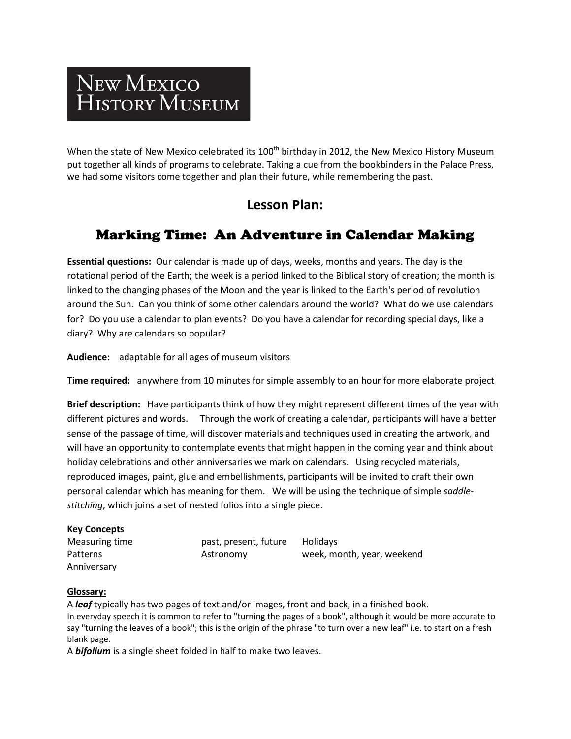# NEW MEXICO HISTORY MUSEUM

When the state of New Mexico celebrated its 100<sup>th</sup> birthday in 2012, the New Mexico History Museum put together all kinds of programs to celebrate. Taking a cue from the bookbinders in the Palace Press, we had some visitors come together and plan their future, while remembering the past.

### **Lesson Plan:**

## Marking Time: An Adventure in Calendar Making

**Essential questions:** Our calendar is made up of days, weeks, months and years. The day is the rotational period of the Earth; the week is a period linked to the Biblical story of creation; the month is linked to the changing phases of the Moon and the year is linked to the Earth's period of revolution around the Sun. Can you think of some other calendars around the world? What do we use calendars for? Do you use a calendar to plan events? Do you have a calendar for recording special days, like a diary? Why are calendars so popular?

**Audience:** adaptable for all ages of museum visitors

**Time required:** anywhere from 10 minutes for simple assembly to an hour for more elaborate project

**Brief description:** Have participants think of how they might represent different times of the year with different pictures and words. Through the work of creating a calendar, participants will have a better sense of the passage of time, will discover materials and techniques used in creating the artwork, and will have an opportunity to contemplate events that might happen in the coming year and think about holiday celebrations and other anniversaries we mark on calendars. Using recycled materials, reproduced images, paint, glue and embellishments, participants will be invited to craft their own personal calendar which has meaning for them. We will be using the technique of simple *saddlestitching*, which joins a set of nested folios into a single piece.

| <b>Key Concepts</b> |                       |                            |
|---------------------|-----------------------|----------------------------|
| Measuring time      | past, present, future | <b>Holidavs</b>            |
| Patterns            | Astronomy             | week, month, year, weekend |
| Anniversary         |                       |                            |

#### **Glossary:**

A *leaf* typically has two pages of text and/or images, front and back, in a finished book. In everyday speech it is common to refer to "turning the pages of a book", although it would be more accurate to say "turning the leaves of a book"; this is the origin of the phrase "to turn over a new leaf" i.e. to start on a fresh blank page.

A *bifolium* is a single sheet folded in half to make two leaves.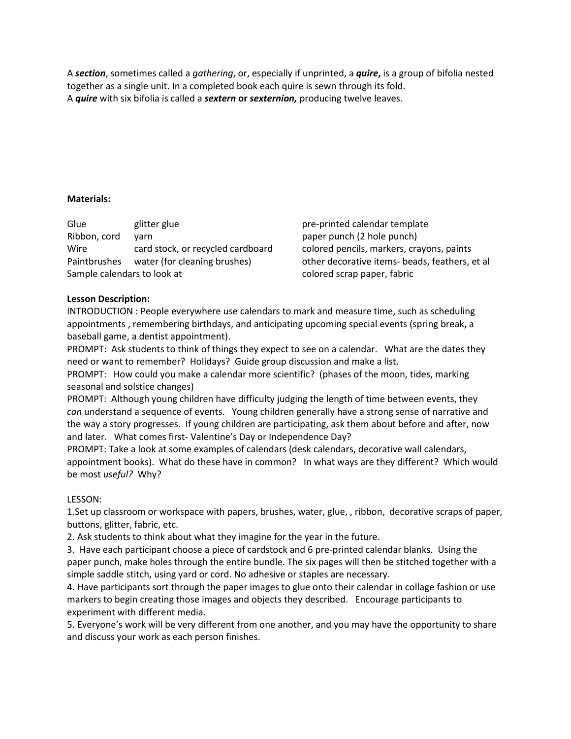A *section*, sometimes called a *gathering*, or, especially if unprinted, a *quire***,** is a group of bifolia nested together as a single unit. In a completed book each quire is sewn through its fold. A *quire* with six bifolia is called a *sextern* **or** *sexternion,* producing twelve leaves.

#### **Materials:**

Glue glitter glue pre-printed calendar template Ribbon, cord yarn paper punch (2 hole punch) Wire card stock, or recycled cardboard colored pencils, markers, crayons, paints Paintbrushes water (for cleaning brushes) other decorative items- beads, feathers, et al Sample calendars to look at colored scrap paper, fabric

#### **Lesson Description:**

INTRODUCTION : People everywhere use calendars to mark and measure time, such as scheduling appointments , remembering birthdays, and anticipating upcoming special events (spring break, a baseball game, a dentist appointment).

PROMPT: Ask students to think of things they expect to see on a calendar. What are the dates they need or want to remember? Holidays? Guide group discussion and make a list.

PROMPT: How could you make a calendar more scientific? (phases of the moon, tides, marking seasonal and solstice changes)

PROMPT: Although young children have difficulty judging the length of time between events, they *can* understand a sequence of events. Young children generally have a strong sense of narrative and the way a story progresses. If young children are participating, ask them about before and after, now and later. What comes first- Valentine's Day or Independence Day?

PROMPT: Take a look at some examples of calendars (desk calendars, decorative wall calendars, appointment books). What do these have in common? In what ways are they different? Which would be most *useful?* Why?

#### LESSON:

1.Set up classroom or workspace with papers, brushes, water, glue, , ribbon, decorative scraps of paper, buttons, glitter, fabric, etc.

2. Ask students to think about what they imagine for the year in the future.

3. Have each participant choose a piece of cardstock and 6 pre-printed calendar blanks. Using the paper punch, make holes through the entire bundle. The six pages will then be stitched together with a simple saddle stitch, using yard or cord. No adhesive or staples are necessary.

4. Have participants sort through the paper images to glue onto their calendar in collage fashion or use markers to begin creating those images and objects they described. Encourage participants to experiment with different media.

5. Everyone's work will be very different from one another, and you may have the opportunity to share and discuss your work as each person finishes.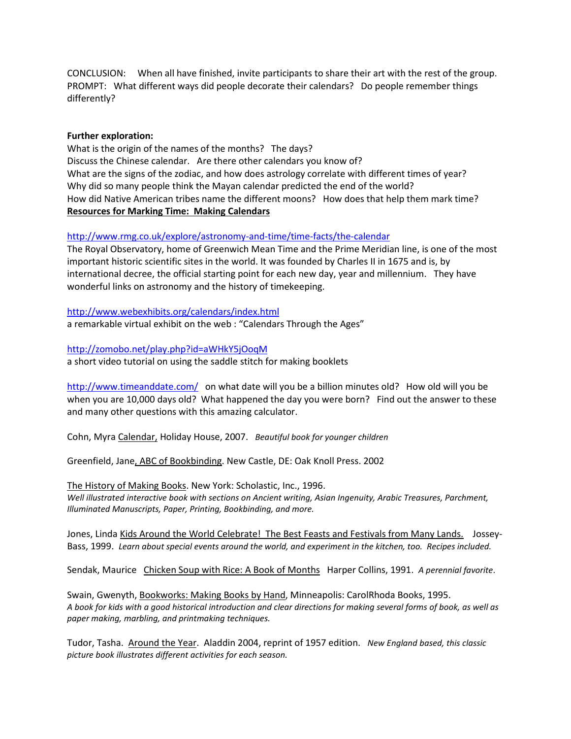CONCLUSION: When all have finished, invite participants to share their art with the rest of the group. PROMPT: What different ways did people decorate their calendars? Do people remember things differently?

#### **Further exploration:**

What is the origin of the names of the months? The days? Discuss the Chinese calendar. Are there other calendars you know of? What are the signs of the zodiac, and how does astrology correlate with different times of year? Why did so many people think the Mayan calendar predicted the end of the world? How did Native American tribes name the different moons? How does that help them mark time? **Resources for Marking Time: Making Calendars**

<http://www.rmg.co.uk/explore/astronomy-and-time/time-facts/the-calendar>

The Royal Observatory, home of Greenwich Mean Time and the Prime Meridian line, is one of the most important historic scientific sites in the world. It was founded by Charles II in 1675 and is, by international decree, the official starting point for each new day, year and millennium. They have wonderful links on astronomy and the history of timekeeping.

<http://www.webexhibits.org/calendars/index.html> a remarkable virtual exhibit on the web : "Calendars Through the Ages"

<http://zomobo.net/play.php?id=aWHkY5jOoqM> a short video tutorial on using the saddle stitch for making booklets

<http://www.timeanddate.com/>on what date will you be a billion minutes old? How old will you be when you are 10,000 days old? What happened the day you were born? Find out the answer to these and many other questions with this amazing calculator.

Cohn, Myra Calendar, Holiday House, 2007. *Beautiful book for younger children*

Greenfield, Jane, ABC of Bookbinding. New Castle, DE: Oak Knoll Press. 2002

The History of Making Books. New York: Scholastic, Inc., 1996. *Well illustrated interactive book with sections on Ancient writing, Asian Ingenuity, Arabic Treasures, Parchment, Illuminated Manuscripts, Paper, Printing, Bookbinding, and more.*

Jones, Linda Kids Around the World Celebrate! The Best Feasts and Festivals from Many Lands. Jossey-Bass, 1999. *Learn about special events around the world, and experiment in the kitchen, too. Recipes included.* 

Sendak, Maurice Chicken Soup with Rice: A Book of Months Harper Collins, 1991. *A perennial favorite*.

Swain, Gwenyth, Bookworks: Making Books by Hand, Minneapolis: CarolRhoda Books, 1995. *A book for kids with a good historical introduction and clear directions for making several forms of book, as well as paper making, marbling, and printmaking techniques.*

Tudor, Tasha. Around the Year. Aladdin 2004, reprint of 1957 edition. *New England based, this classic picture book illustrates different activities for each season.*